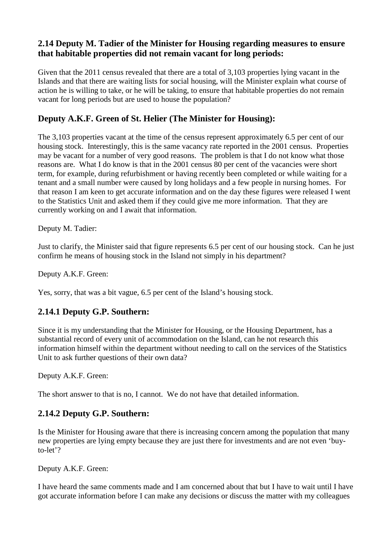### **2.14 Deputy M. Tadier of the Minister for Housing regarding measures to ensure that habitable properties did not remain vacant for long periods:**

Given that the 2011 census revealed that there are a total of 3,103 properties lying vacant in the Islands and that there are waiting lists for social housing, will the Minister explain what course of action he is willing to take, or he will be taking, to ensure that habitable properties do not remain vacant for long periods but are used to house the population?

## **Deputy A.K.F. Green of St. Helier (The Minister for Housing):**

The 3,103 properties vacant at the time of the census represent approximately 6.5 per cent of our housing stock. Interestingly, this is the same vacancy rate reported in the 2001 census. Properties may be vacant for a number of very good reasons. The problem is that I do not know what those reasons are. What I do know is that in the 2001 census 80 per cent of the vacancies were short term, for example, during refurbishment or having recently been completed or while waiting for a tenant and a small number were caused by long holidays and a few people in nursing homes. For that reason I am keen to get accurate information and on the day these figures were released I went to the Statistics Unit and asked them if they could give me more information. That they are currently working on and I await that information.

Deputy M. Tadier:

Just to clarify, the Minister said that figure represents 6.5 per cent of our housing stock. Can he just confirm he means of housing stock in the Island not simply in his department?

Deputy A.K.F. Green:

Yes, sorry, that was a bit vague, 6.5 per cent of the Island's housing stock.

## **2.14.1 Deputy G.P. Southern:**

Since it is my understanding that the Minister for Housing, or the Housing Department, has a substantial record of every unit of accommodation on the Island, can he not research this information himself within the department without needing to call on the services of the Statistics Unit to ask further questions of their own data?

Deputy A.K.F. Green:

The short answer to that is no, I cannot. We do not have that detailed information.

# **2.14.2 Deputy G.P. Southern:**

Is the Minister for Housing aware that there is increasing concern among the population that many new properties are lying empty because they are just there for investments and are not even 'buyto-let'?

Deputy A.K.F. Green:

I have heard the same comments made and I am concerned about that but I have to wait until I have got accurate information before I can make any decisions or discuss the matter with my colleagues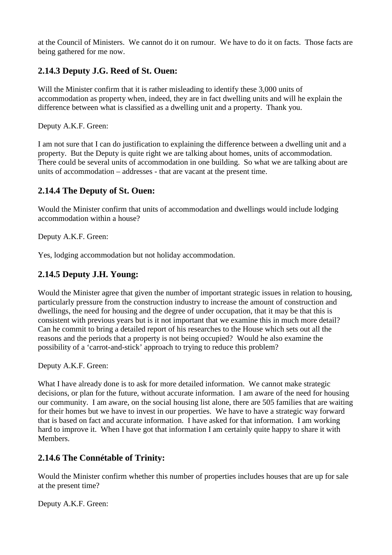at the Council of Ministers. We cannot do it on rumour. We have to do it on facts. Those facts are being gathered for me now.

# **2.14.3 Deputy J.G. Reed of St. Ouen:**

Will the Minister confirm that it is rather misleading to identify these 3,000 units of accommodation as property when, indeed, they are in fact dwelling units and will he explain the difference between what is classified as a dwelling unit and a property. Thank you.

Deputy A.K.F. Green:

I am not sure that I can do justification to explaining the difference between a dwelling unit and a property. But the Deputy is quite right we are talking about homes, units of accommodation. There could be several units of accommodation in one building. So what we are talking about are units of accommodation – addresses - that are vacant at the present time.

### **2.14.4 The Deputy of St. Ouen:**

Would the Minister confirm that units of accommodation and dwellings would include lodging accommodation within a house?

Deputy A.K.F. Green:

Yes, lodging accommodation but not holiday accommodation.

## **2.14.5 Deputy J.H. Young:**

Would the Minister agree that given the number of important strategic issues in relation to housing, particularly pressure from the construction industry to increase the amount of construction and dwellings, the need for housing and the degree of under occupation, that it may be that this is consistent with previous years but is it not important that we examine this in much more detail? Can he commit to bring a detailed report of his researches to the House which sets out all the reasons and the periods that a property is not being occupied? Would he also examine the possibility of a 'carrot-and-stick' approach to trying to reduce this problem?

Deputy A.K.F. Green:

What I have already done is to ask for more detailed information. We cannot make strategic decisions, or plan for the future, without accurate information. I am aware of the need for housing our community. I am aware, on the social housing list alone, there are 505 families that are waiting for their homes but we have to invest in our properties. We have to have a strategic way forward that is based on fact and accurate information. I have asked for that information. I am working hard to improve it. When I have got that information I am certainly quite happy to share it with Members.

#### **2.14.6 The Connétable of Trinity:**

Would the Minister confirm whether this number of properties includes houses that are up for sale at the present time?

Deputy A.K.F. Green: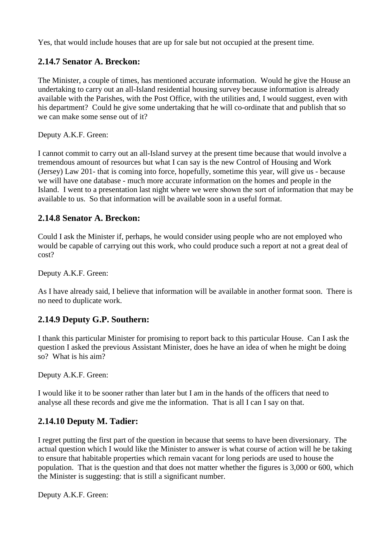Yes, that would include houses that are up for sale but not occupied at the present time.

## **2.14.7 Senator A. Breckon:**

The Minister, a couple of times, has mentioned accurate information. Would he give the House an undertaking to carry out an all-Island residential housing survey because information is already available with the Parishes, with the Post Office, with the utilities and, I would suggest, even with his department? Could he give some undertaking that he will co-ordinate that and publish that so we can make some sense out of it?

Deputy A.K.F. Green:

I cannot commit to carry out an all-Island survey at the present time because that would involve a tremendous amount of resources but what I can say is the new Control of Housing and Work (Jersey) Law 201- that is coming into force, hopefully, sometime this year, will give us - because we will have one database - much more accurate information on the homes and people in the Island. I went to a presentation last night where we were shown the sort of information that may be available to us. So that information will be available soon in a useful format.

### **2.14.8 Senator A. Breckon:**

Could I ask the Minister if, perhaps, he would consider using people who are not employed who would be capable of carrying out this work, who could produce such a report at not a great deal of cost?

Deputy A.K.F. Green:

As I have already said, I believe that information will be available in another format soon. There is no need to duplicate work.

## **2.14.9 Deputy G.P. Southern:**

I thank this particular Minister for promising to report back to this particular House. Can I ask the question I asked the previous Assistant Minister, does he have an idea of when he might be doing so? What is his aim?

Deputy A.K.F. Green:

I would like it to be sooner rather than later but I am in the hands of the officers that need to analyse all these records and give me the information. That is all I can I say on that.

## **2.14.10 Deputy M. Tadier:**

I regret putting the first part of the question in because that seems to have been diversionary. The actual question which I would like the Minister to answer is what course of action will he be taking to ensure that habitable properties which remain vacant for long periods are used to house the population. That is the question and that does not matter whether the figures is 3,000 or 600, which the Minister is suggesting: that is still a significant number.

Deputy A.K.F. Green: